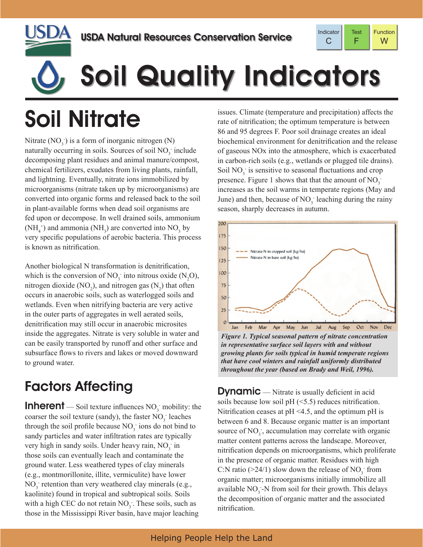



# Soil Quality Indicators

## Soil Nitrate

Nitrate  $(NO_3^-)$  is a form of inorganic nitrogen  $(N)$ naturally occurring in soils. Sources of soil  $NO<sub>3</sub>$  include decomposing plant residues and animal manure/compost, chemical fertilizers, exudates from living plants, rainfall, and lightning. Eventually, nitrate ions immobilized by microorganisms (nitrate taken up by microorganisms) are converted into organic forms and released back to the soil in plant-available forms when dead soil organisms are fed upon or decompose. In well drained soils, ammonium  $(NH_4^+)$  and ammonia  $(NH_3)$  are converted into  $NO_3$  by very specific populations of aerobic bacteria. This process is known as nitrification.

Another biological N transformation is denitrification, which is the conversion of  $NO_3^-$  into nitrous oxide  $(N_2O)$ , nitrogen dioxide  $(NO_2)$ , and nitrogen gas  $(N_2)$  that often occurs in anaerobic soils, such as waterlogged soils and wetlands. Even when nitrifying bacteria are very active in the outer parts of aggregates in well aerated soils, denitrification may still occur in anaerobic microsites inside the aggregates. Nitrate is very soluble in water and can be easily transported by runoff and other surface and subsurface flows to rivers and lakes or moved downward to ground water.

### Factors Affecting

**Inherent** — Soil texture influences  $NO_3$  mobility: the coarser the soil texture (sandy), the faster  $NO_3^-$  leaches through the soil profile because  $NO_3^-$  ions do not bind to sandy particles and water infiltration rates are typically very high in sandy soils. Under heavy rain,  $NO<sub>3</sub>$  in those soils can eventually leach and contaminate the ground water. Less weathered types of clay minerals (e.g., montmorillonite, illite, vermiculite) have lower  $NO<sub>3</sub>$  retention than very weathered clay minerals (e.g., kaolinite) found in tropical and subtropical soils. Soils with a high CEC do not retain  $NO_3^-$ . These soils, such as those in the Mississippi River basin, have major leaching

issues. Climate (temperature and precipitation) affects the rate of nitrification; the optimum temperature is between 86 and 95 degrees F. Poor soil drainage creates an ideal biochemical environment for denitrification and the release of gaseous NOx into the atmosphere, which is exacerbated in carbon-rich soils (e.g., wetlands or plugged tile drains). Soil NO<sub>3</sub> is sensitive to seasonal fluctuations and crop presence. Figure 1 shows that that the amount of  $NO_3^$ increases as the soil warms in temperate regions (May and June) and then, because of  $NO_3^-$  leaching during the rainy season, sharply decreases in autumn.



*Figure 1. Typical seasonal pattern of nitrate concentration in representative surface soil layers with and without growing plants for soils typical in humid temperate regions that have cool winters and rainfall uniformly distributed throughout the year (based on Brady and Weil, 1996).*

**Dynamic** — Nitrate is usually deficient in acid soils because low soil  $pH$  ( $\leq$ 5.5) reduces nitrification. Nitrification ceases at  $pH < 4.5$ , and the optimum pH is between 6 and 8. Because organic matter is an important source of  $NO_3^-$ , accumulation may correlate with organic matter content patterns across the landscape. Moreover, nitrification depends on microorganisms, which proliferate in the presence of organic matter. Residues with high C:N ratio ( $>24/1$ ) slow down the release of NO<sub>3</sub> from organic matter; microorganisms initially immobilize all available  $NO_3$ -N from soil for their growth. This delays the decomposition of organic matter and the associated nitrification.